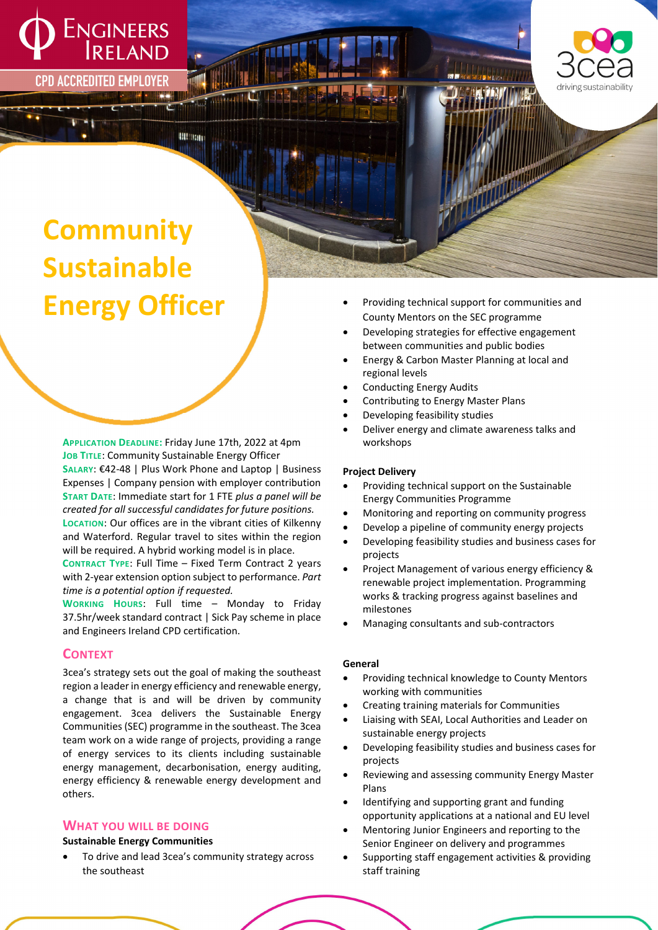

**CPD ACCREDITED EMPLOYER** 



# **Community Sustainable Energy Officer**

**APPLICATION DEADLINE:** Friday June 17th, 2022 at 4pm **JOB TITLE**: Community Sustainable Energy Officer **SALARY**: €42‐48 | Plus Work Phone and Laptop | Business Expenses | Company pension with employer contribution **START DATE**: Immediate start for 1 FTE *plus a panel will be created for all successful candidates for future positions.* **LOCATION**: Our offices are in the vibrant cities of Kilkenny and Waterford. Regular travel to sites within the region will be required. A hybrid working model is in place.

**METHIN** 

**CONTRACT TYPE**: Full Time – Fixed Term Contract 2 years with 2‐year extension option subject to performance. *Part time is a potential option if requested.*

**WORKING HOURS**: Full time – Monday to Friday 37.5hr/week standard contract | Sick Pay scheme in place and Engineers Ireland CPD certification.

## **CONTEXT**

3cea's strategy sets out the goal of making the southeast region a leader in energy efficiency and renewable energy, a change that is and will be driven by community engagement. 3cea delivers the Sustainable Energy Communities(SEC) programme in the southeast. The 3cea team work on a wide range of projects, providing a range of energy services to its clients including sustainable energy management, decarbonisation, energy auditing, energy efficiency & renewable energy development and others.

## **WHAT YOU WILL BE DOING**

## **Sustainable Energy Communities**

 To drive and lead 3cea's community strategy across the southeast

- Providing technical support for communities and County Mentors on the SEC programme
- Developing strategies for effective engagement between communities and public bodies
- Energy & Carbon Master Planning at local and regional levels
- Conducting Energy Audits
- Contributing to Energy Master Plans
- Developing feasibility studies
- Deliver energy and climate awareness talks and workshops

## **Project Delivery**

- Providing technical support on the Sustainable Energy Communities Programme
- Monitoring and reporting on community progress
- Develop a pipeline of community energy projects
- Developing feasibility studies and business cases for projects
- Project Management of various energy efficiency & renewable project implementation. Programming works & tracking progress against baselines and milestones
- Managing consultants and sub‐contractors

#### **General**

- Providing technical knowledge to County Mentors working with communities
- Creating training materials for Communities
- Liaising with SEAI, Local Authorities and Leader on sustainable energy projects
- Developing feasibility studies and business cases for projects
- Reviewing and assessing community Energy Master Plans
- Identifying and supporting grant and funding opportunity applications at a national and EU level
- Mentoring Junior Engineers and reporting to the Senior Engineer on delivery and programmes
- Supporting staff engagement activities & providing staff training